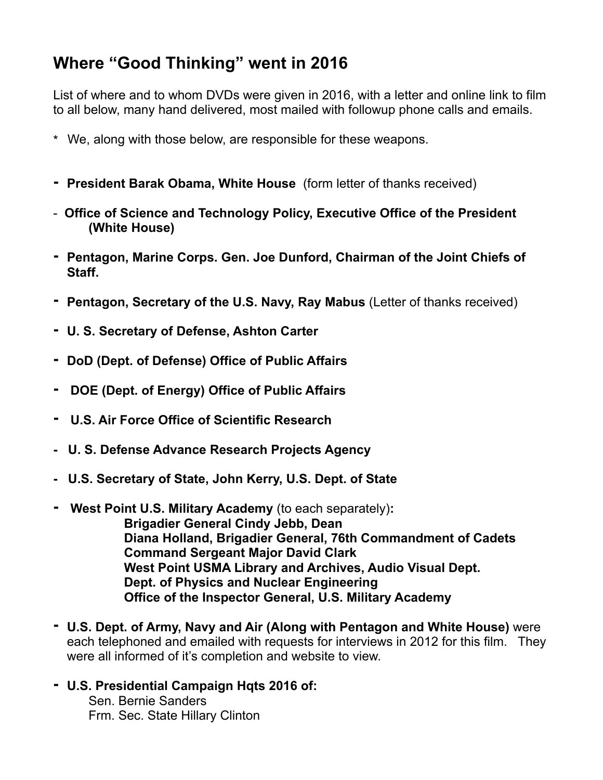## **Where "Good Thinking" went in 2016**

List of where and to whom DVDs were given in 2016, with a letter and online link to film to all below, many hand delivered, most mailed with followup phone calls and emails.

- \* We, along with those below, are responsible for these weapons.
- **- President Barak Obama, White House** (form letter of thanks received)
- **Office of Science and Technology Policy, Executive Office of the President (White House)**
- **- Pentagon, Marine Corps. Gen. Joe Dunford, Chairman of the Joint Chiefs of Staff.**
- **- Pentagon, Secretary of the U.S. Navy, Ray Mabus** (Letter of thanks received)
- **- U. S. Secretary of Defense, Ashton Carter**
- **- DoD (Dept. of Defense) Office of Public Affairs**
- **DOE (Dept. of Energy) Office of Public Affairs**
- **U.S. Air Force Office of Scientific Research**
- **U. S. Defense Advance Research Projects Agency**
- **U.S. Secretary of State, John Kerry, U.S. Dept. of State**
- **West Point U.S. Military Academy** (to each separately)**: Brigadier General Cindy Jebb, Dean Diana Holland, Brigadier General, 76th Commandment of Cadets Command Sergeant Major David Clark West Point USMA Library and Archives, Audio Visual Dept. Dept. of Physics and Nuclear Engineering Office of the Inspector General, U.S. Military Academy**
- **- U.S. Dept. of Army, Navy and Air (Along with Pentagon and White House)** were each telephoned and emailed with requests for interviews in 2012 for this film. They were all informed of it's completion and website to view.
- **- U.S. Presidential Campaign Hqts 2016 of:**

 Sen. Bernie Sanders Frm. Sec. State Hillary Clinton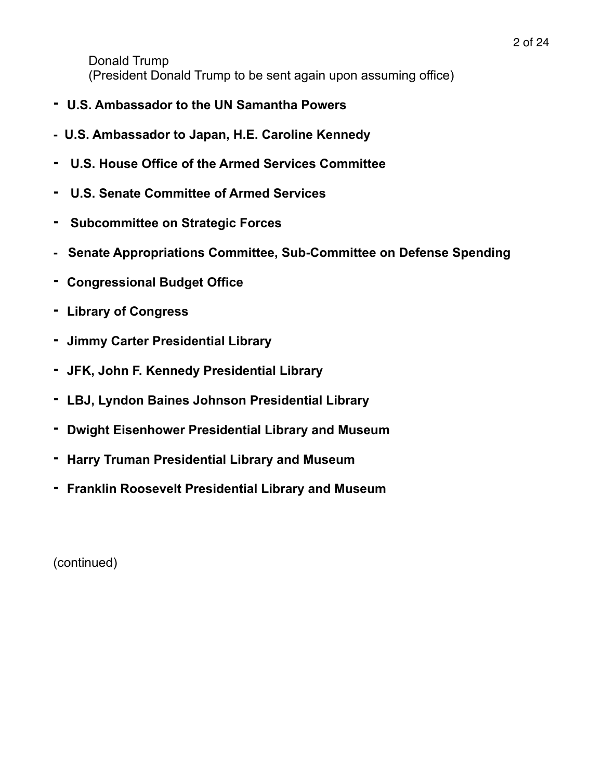Donald Trump (President Donald Trump to be sent again upon assuming office)

- **- U.S. Ambassador to the UN Samantha Powers**
- **U.S. Ambassador to Japan, H.E. Caroline Kennedy**
- **- U.S. House Office of the Armed Services Committee**
- **U.S. Senate Committee of Armed Services**
- **Subcommittee on Strategic Forces**
- **Senate Appropriations Committee, Sub-Committee on Defense Spending**
- **- Congressional Budget Office**
- **- Library of Congress**
- **- Jimmy Carter Presidential Library**
- **- JFK, John F. Kennedy Presidential Library**
- **- LBJ, Lyndon Baines Johnson Presidential Library**
- **- Dwight Eisenhower Presidential Library and Museum**
- **- Harry Truman Presidential Library and Museum**
- **- Franklin Roosevelt Presidential Library and Museum**

(continued)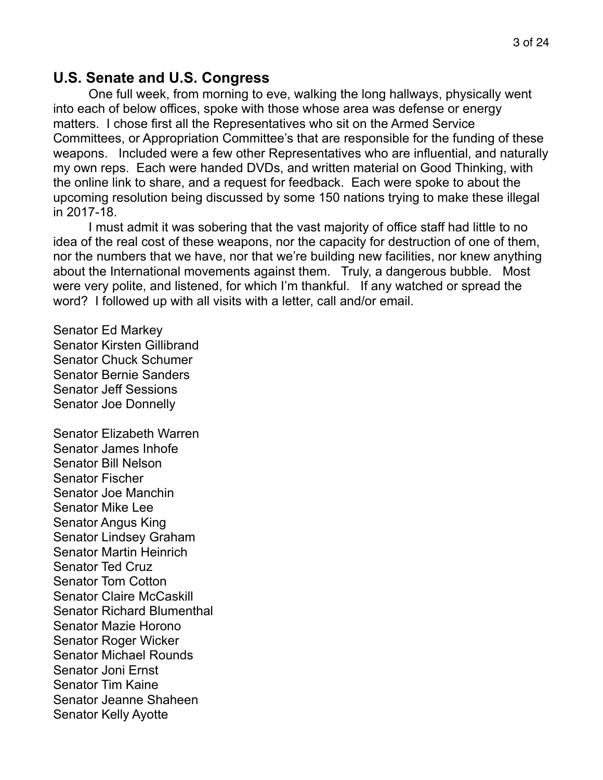#### **U.S. Senate and U.S. Congress**

One full week, from morning to eve, walking the long hallways, physically went into each of below offices, spoke with those whose area was defense or energy matters. I chose first all the Representatives who sit on the Armed Service Committees, or Appropriation Committee's that are responsible for the funding of these weapons. Included were a few other Representatives who are influential, and naturally my own reps. Each were handed DVDs, and written material on Good Thinking, with the online link to share, and a request for feedback. Each were spoke to about the upcoming resolution being discussed by some 150 nations trying to make these illegal in 2017-18.

 I must admit it was sobering that the vast majority of office staff had little to no idea of the real cost of these weapons, nor the capacity for destruction of one of them, nor the numbers that we have, nor that we're building new facilities, nor knew anything about the International movements against them. Truly, a dangerous bubble. Most were very polite, and listened, for which I'm thankful. If any watched or spread the word? I followed up with all visits with a letter, call and/or email.

Senator Ed Markey Senator Kirsten Gillibrand Senator Chuck Schumer Senator Bernie Sanders Senator Jeff Sessions Senator Joe Donnelly

Senator Elizabeth Warren Senator James Inhofe Senator Bill Nelson Senator Fischer Senator Joe Manchin Senator Mike Lee Senator Angus King Senator Lindsey Graham Senator Martin Heinrich Senator Ted Cruz Senator Tom Cotton Senator Claire McCaskill Senator Richard Blumenthal Senator Mazie Horono Senator Roger Wicker Senator Michael Rounds Senator Joni Ernst Senator Tim Kaine Senator Jeanne Shaheen Senator Kelly Ayotte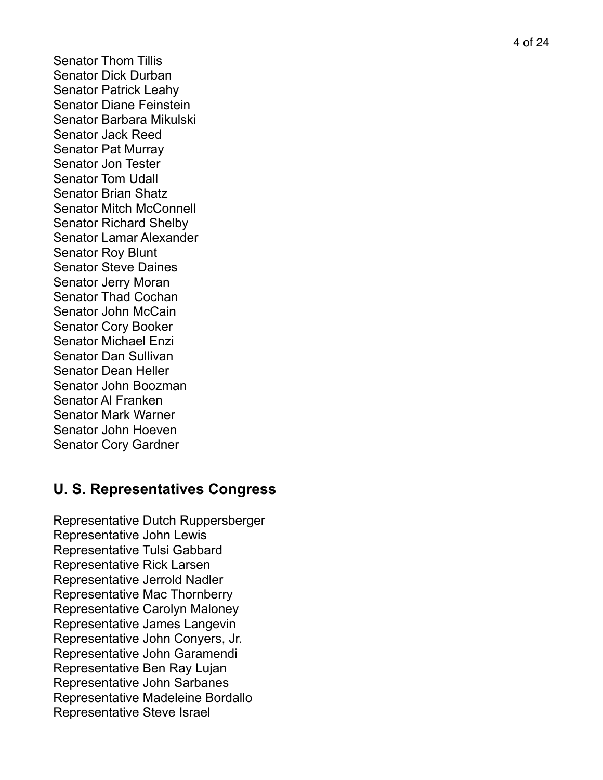4 of 24

Senator Thom Tillis Senator Dick Durban Senator Patrick Leahy Senator Diane Feinstein Senator Barbara Mikulski Senator Jack Reed Senator Pat Murray Senator Jon Tester Senator Tom Udall Senator Brian Shatz Senator Mitch McConnell Senator Richard Shelby Senator Lamar Alexander Senator Roy Blunt Senator Steve Daines Senator Jerry Moran Senator Thad Cochan Senator John McCain Senator Cory Booker Senator Michael Enzi Senator Dan Sullivan Senator Dean Heller Senator John Boozman Senator Al Franken Senator Mark Warner Senator John Hoeven Senator Cory Gardner

## **U. S. Representatives Congress**

Representative Dutch Ruppersberger Representative John Lewis Representative Tulsi Gabbard Representative Rick Larsen Representative Jerrold Nadler Representative Mac Thornberry Representative Carolyn Maloney Representative James Langevin Representative John Conyers, Jr. Representative John Garamendi Representative Ben Ray Lujan Representative John Sarbanes Representative Madeleine Bordallo Representative Steve Israel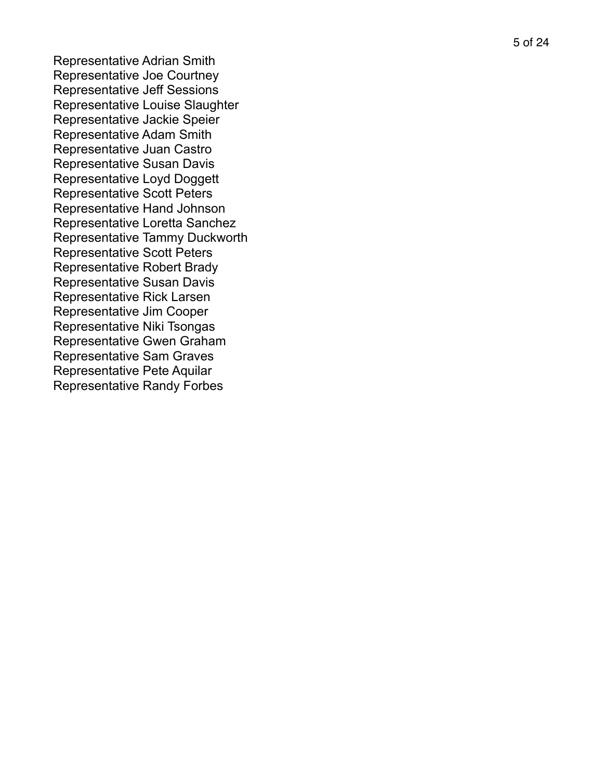Representative Adrian Smith Representative Joe Courtney Representative Jeff Sessions Representative Louise Slaughter Representative Jackie Speier Representative Adam Smith Representative Juan Castro Representative Susan Davis Representative Loyd Doggett Representative Scott Peters Representative Hand Johnson Representative Loretta Sanchez Representative Tammy Duckworth Representative Scott Peters Representative Robert Brady Representative Susan Davis Representative Rick Larsen Representative Jim Cooper Representative Niki Tsongas Representative Gwen Graham Representative Sam Graves Representative Pete Aquilar Representative Randy Forbes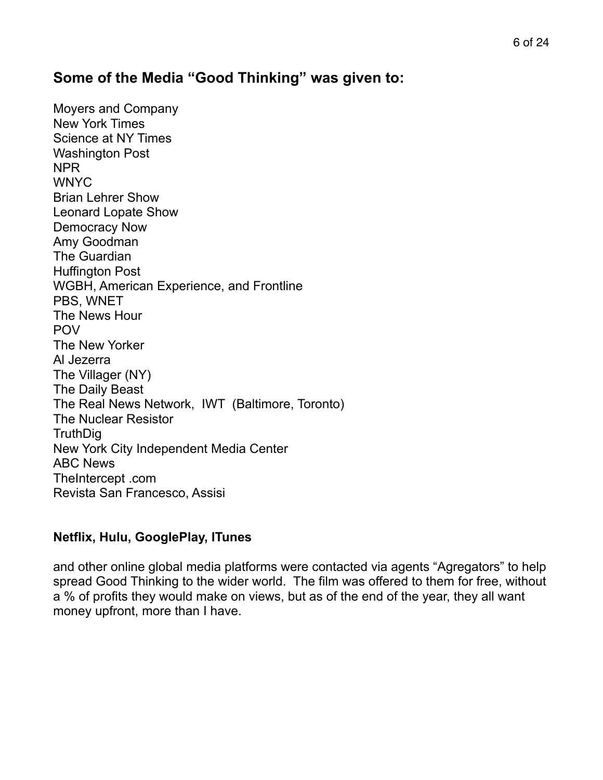### **Some of the Media "Good Thinking" was given to:**

Moyers and Company New York Times Science at NY Times Washington Post NPR **WNYC** Brian Lehrer Show Leonard Lopate Show Democracy Now Amy Goodman The Guardian Huffington Post WGBH, American Experience, and Frontline PBS, WNET The News Hour POV The New Yorker Al Jezerra The Villager (NY) The Daily Beast The Real News Network, IWT (Baltimore, Toronto) The Nuclear Resistor **TruthDig** New York City Independent Media Center ABC News TheIntercept .com Revista San Francesco, Assisi

#### **Netflix, Hulu, GooglePlay, ITunes**

and other online global media platforms were contacted via agents "Agregators" to help spread Good Thinking to the wider world. The film was offered to them for free, without a % of profits they would make on views, but as of the end of the year, they all want money upfront, more than I have.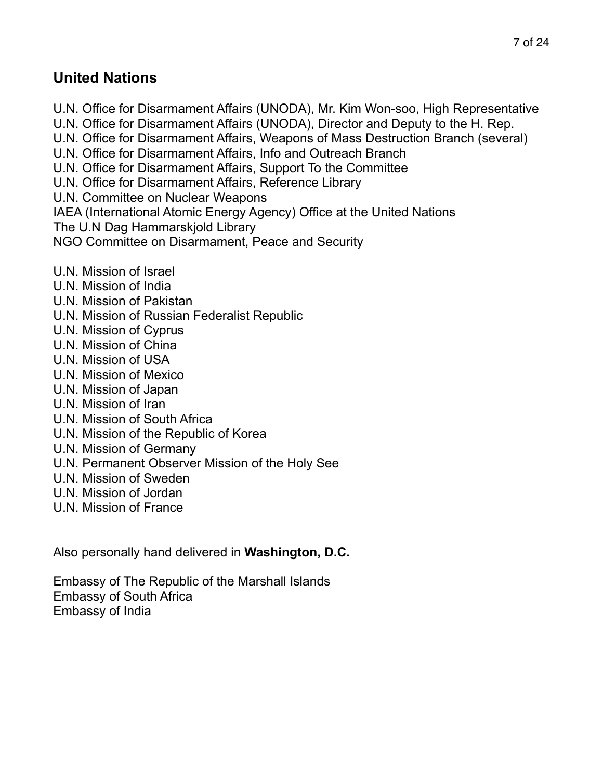### **United Nations**

- U.N. Office for Disarmament Affairs (UNODA), Mr. Kim Won-soo, High Representative U.N. Office for Disarmament Affairs (UNODA), Director and Deputy to the H. Rep. U.N. Office for Disarmament Affairs, Weapons of Mass Destruction Branch (several) U.N. Office for Disarmament Affairs, Info and Outreach Branch U.N. Office for Disarmament Affairs, Support To the Committee U.N. Office for Disarmament Affairs, Reference Library U.N. Committee on Nuclear Weapons IAEA (International Atomic Energy Agency) Office at the United Nations The U.N Dag Hammarskjold Library NGO Committee on Disarmament, Peace and Security
- U.N. Mission of Israel
- U.N. Mission of India
- U.N. Mission of Pakistan
- U.N. Mission of Russian Federalist Republic
- U.N. Mission of Cyprus
- U.N. Mission of China
- U.N. Mission of USA
- U.N. Mission of Mexico
- U.N. Mission of Japan
- U.N. Mission of Iran
- U.N. Mission of South Africa
- U.N. Mission of the Republic of Korea
- U.N. Mission of Germany
- U.N. Permanent Observer Mission of the Holy See
- U.N. Mission of Sweden
- U.N. Mission of Jordan
- U.N. Mission of France

Also personally hand delivered in **Washington, D.C.** 

Embassy of The Republic of the Marshall Islands Embassy of South Africa Embassy of India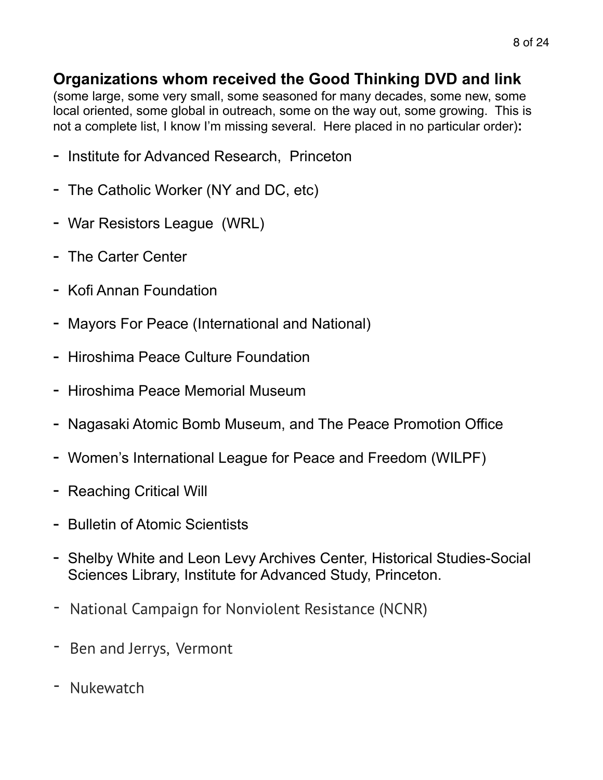## **Organizations whom received the Good Thinking DVD and link**

(some large, some very small, some seasoned for many decades, some new, some local oriented, some global in outreach, some on the way out, some growing. This is not a complete list, I know I'm missing several. Here placed in no particular order)**:** 

- Institute for Advanced Research, Princeton
- The Catholic Worker (NY and DC, etc)
- War Resistors League (WRL)
- The Carter Center
- Kofi Annan Foundation
- Mayors For Peace (International and National)
- Hiroshima Peace Culture Foundation
- Hiroshima Peace Memorial Museum
- Nagasaki Atomic Bomb Museum, and The Peace Promotion Office
- Women's International League for Peace and Freedom (WILPF)
- Reaching Critical Will
- Bulletin of Atomic Scientists
- Shelby White and Leon Levy Archives Center, Historical Studies-Social Sciences Library, Institute for Advanced Study, Princeton.
- National Campaign for Nonviolent Resistance (NCNR)
- Ben and Jerrys, Vermont
- **Nukewatch**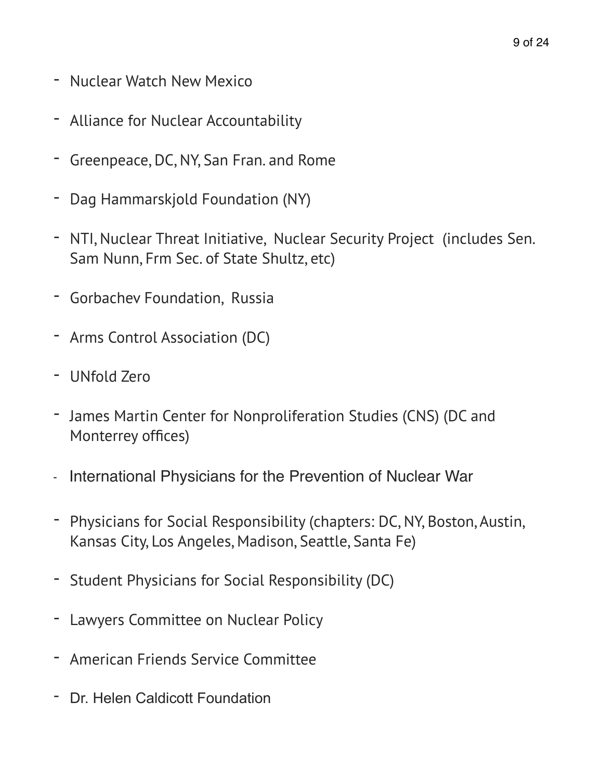- Nuclear Watch New Mexico
- Alliance for Nuclear Accountability
- Greenpeace, DC, NY, San Fran. and Rome
- Dag Hammarskjold Foundation (NY)
- NTI, Nuclear Threat Initiative, Nuclear Security Project (includes Sen. Sam Nunn, Frm Sec. of State Shultz, etc)
- Gorbachev Foundation, Russia
- Arms Control Association (DC)
- UNfold Zero
- James Martin Center for Nonproliferation Studies (CNS) (DC and Monterrey offices)
- International Physicians for the Prevention of Nuclear War
- Physicians for Social Responsibility (chapters: DC, NY, Boston, Austin, Kansas City, Los Angeles, Madison, Seattle, Santa Fe)
- Student Physicians for Social Responsibility (DC)
- Lawyers Committee on Nuclear Policy
- American Friends Service Committee
- Dr. Helen Caldicott Foundation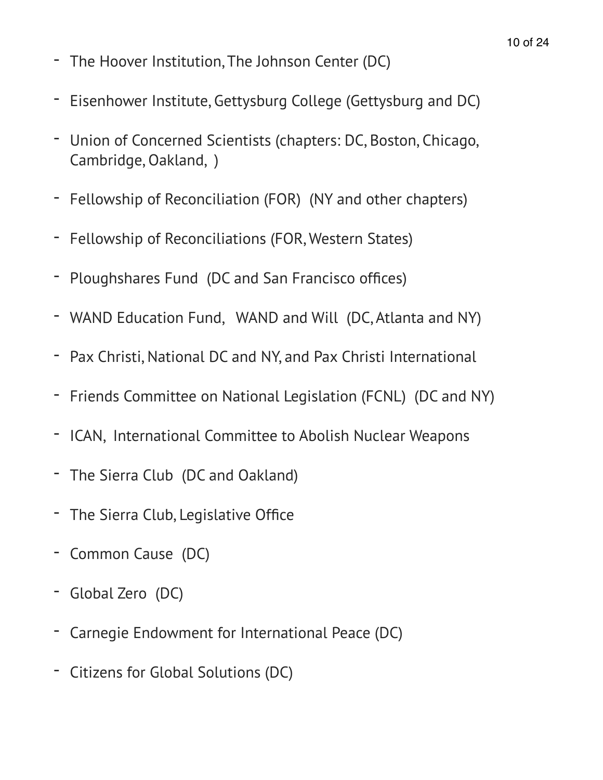- The Hoover Institution, The Johnson Center (DC)
- Eisenhower Institute, Gettysburg College (Gettysburg and DC)
- Union of Concerned Scientists (chapters: DC, Boston, Chicago, Cambridge, Oakland, )
- Fellowship of Reconciliation (FOR) (NY and other chapters)
- Fellowship of Reconciliations (FOR, Western States)
- Ploughshares Fund (DC and San Francisco offices)
- WAND Education Fund, WAND and Will (DC, Atlanta and NY)
- Pax Christi, National DC and NY, and Pax Christi International
- Friends Committee on National Legislation (FCNL) (DC and NY)
- ICAN, International Committee to Abolish Nuclear Weapons
- The Sierra Club (DC and Oakland)
- The Sierra Club, Legislative Office
- Common Cause (DC)
- Global Zero (DC)
- Carnegie Endowment for International Peace (DC)
- Citizens for Global Solutions (DC)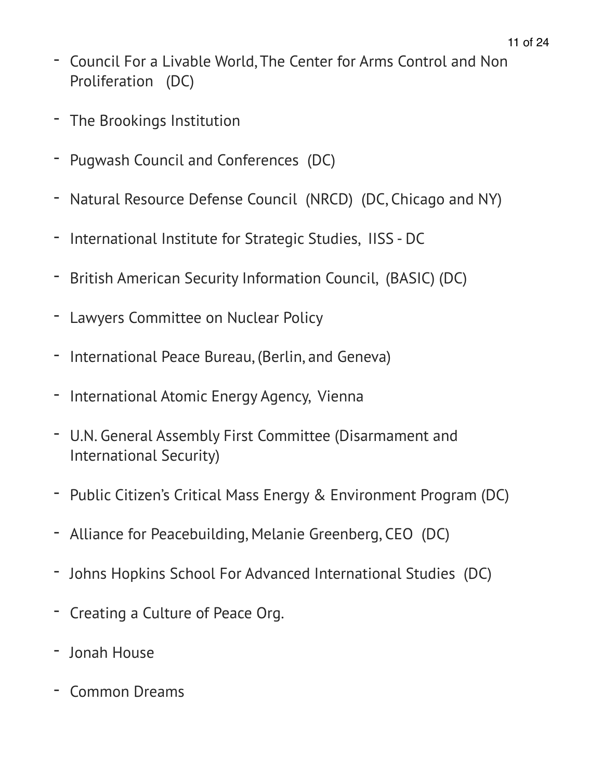- Council For a Livable World, The Center for Arms Control and Non Proliferation (DC)
- The Brookings Institution
- Pugwash Council and Conferences (DC)
- Natural Resource Defense Council (NRCD) (DC, Chicago and NY)
- International Institute for Strategic Studies, IISS DC
- British American Security Information Council, (BASIC) (DC)
- Lawyers Committee on Nuclear Policy
- International Peace Bureau, (Berlin, and Geneva)
- International Atomic Energy Agency, Vienna
- U.N. General Assembly First Committee (Disarmament and International Security)
- Public Citizen's Critical Mass Energy & Environment Program (DC)
- Alliance for Peacebuilding, Melanie Greenberg, CEO (DC)
- Johns Hopkins School For Advanced International Studies (DC)
- Creating a Culture of Peace Org.
- Jonah House
- Common Dreams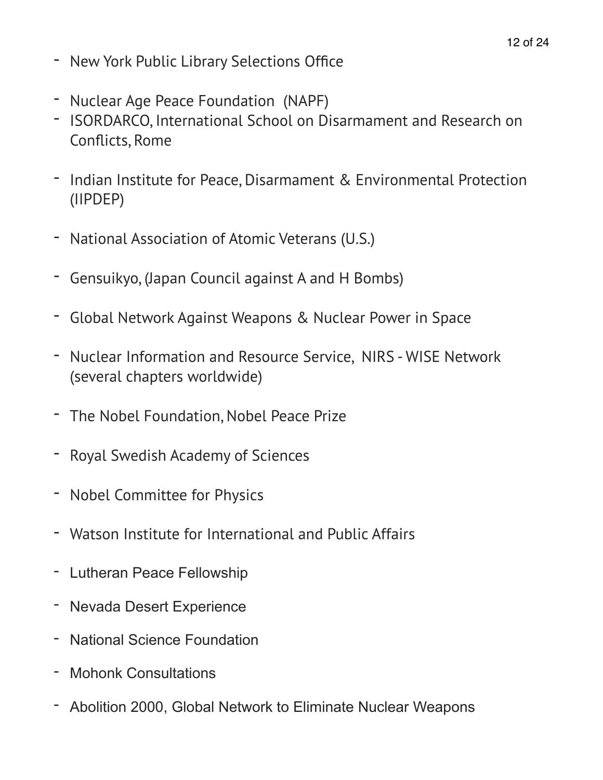- New York Public Library Selections Office
- Nuclear Age Peace Foundation (NAPF)
- ISORDARCO, International School on Disarmament and Research on Conflicts, Rome
- Indian Institute for Peace, Disarmament & Environmental Protection (IIPDEP)
- National Association of Atomic Veterans (U.S.)
- Gensuikyo, (Japan Council against A and H Bombs)
- Global Network Against Weapons & Nuclear Power in Space
- Nuclear Information and Resource Service, NIRS WISE Network (several chapters worldwide)
- The Nobel Foundation, Nobel Peace Prize
- Royal Swedish Academy of Sciences
- Nobel Committee for Physics
- Watson Institute for International and Public Affairs
- Lutheran Peace Fellowship
- Nevada Desert Experience
- National Science Foundation
- Mohonk Consultations
- Abolition 2000, Global Network to Eliminate Nuclear Weapons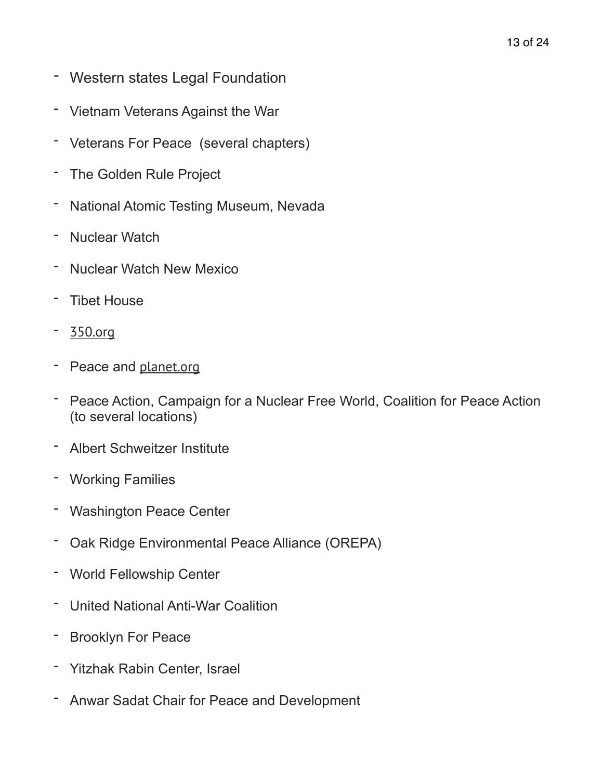- Western states Legal Foundation
- Vietnam Veterans Against the War
- Veterans For Peace (several chapters)
- The Golden Rule Project
- National Atomic Testing Museum, Nevada
- Nuclear Watch
- **Nuclear Watch New Mexico**
- **Tibet House**
- [350.org](http://350.org)
- Peace and [planet.org](http://planet.org)
- Peace Action, Campaign for a Nuclear Free World, Coalition for Peace Action (to several locations)
- Albert Schweitzer Institute
- Working Families
- **Washington Peace Center**
- Oak Ridge Environmental Peace Alliance (OREPA)
- World Fellowship Center
- United National Anti-War Coalition
- Brooklyn For Peace
- Yitzhak Rabin Center, Israel
- Anwar Sadat Chair for Peace and Development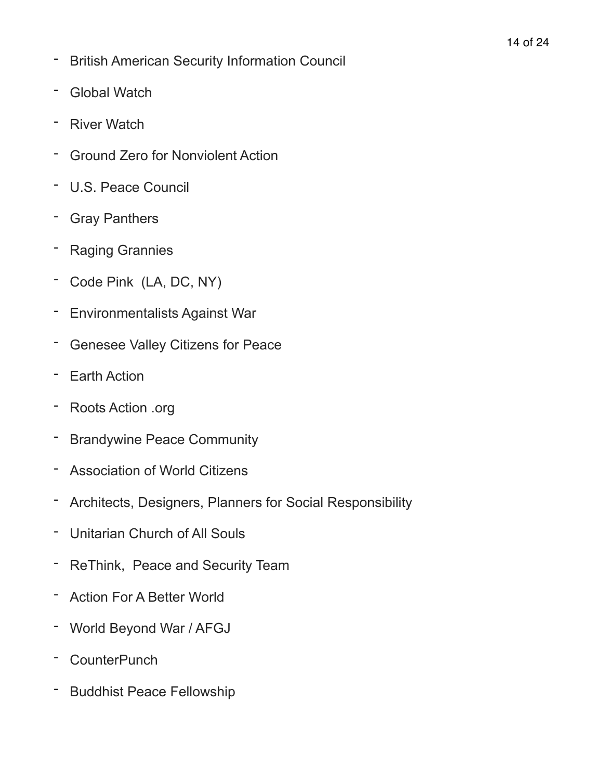- British American Security Information Council
- Global Watch
- River Watch
- Ground Zero for Nonviolent Action
- U.S. Peace Council
- Gray Panthers
- **Raging Grannies**
- Code Pink (LA, DC, NY)
- Environmentalists Against War
- Genesee Valley Citizens for Peace
- Earth Action
- Roots Action .org
- Brandywine Peace Community
- Association of World Citizens
- Architects, Designers, Planners for Social Responsibility
- Unitarian Church of All Souls
- ReThink, Peace and Security Team
- Action For A Better World
- World Beyond War / AFGJ
- CounterPunch
- Buddhist Peace Fellowship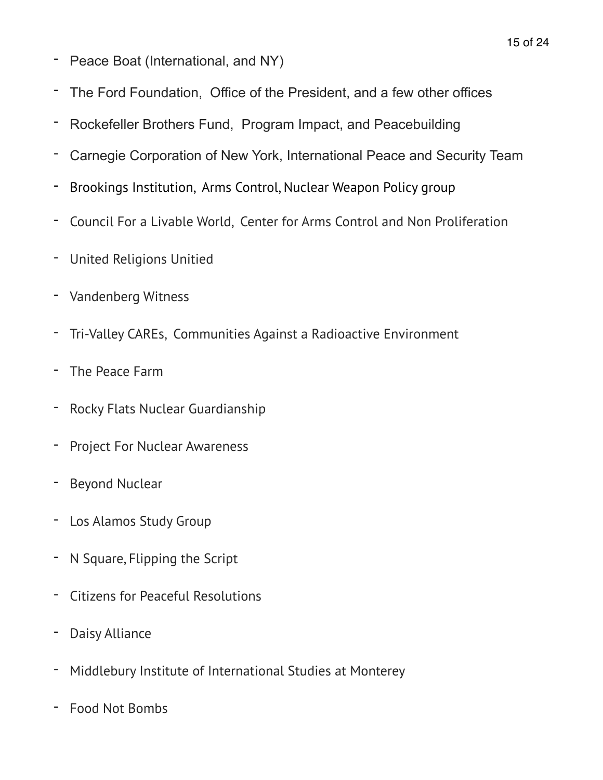- Peace Boat (International, and NY)
- The Ford Foundation, Office of the President, and a few other offices
- Rockefeller Brothers Fund, Program Impact, and Peacebuilding
- Carnegie Corporation of New York, International Peace and Security Team
- Brookings Institution, Arms Control, Nuclear Weapon Policy group
- Council For a Livable World, Center for Arms Control and Non Proliferation
- United Religions Unitied
- Vandenberg Witness
- Tri-Valley CAREs, Communities Against a Radioactive Environment
- The Peace Farm
- Rocky Flats Nuclear Guardianship
- Project For Nuclear Awareness
- Beyond Nuclear
- Los Alamos Study Group
- N Square, Flipping the Script
- Citizens for Peaceful Resolutions
- Daisy Alliance
- Middlebury Institute of International Studies at Monterey
- Food Not Bombs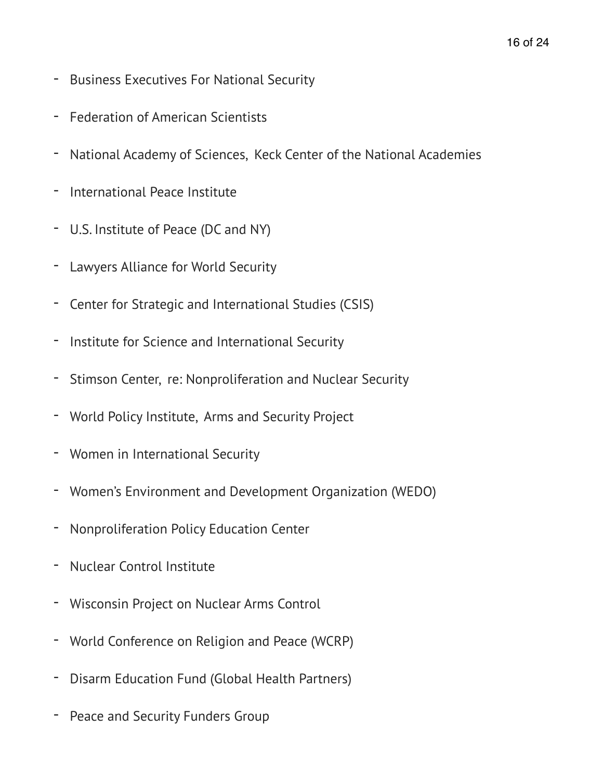- Business Executives For National Security
- Federation of American Scientists
- National Academy of Sciences, Keck Center of the National Academies
- International Peace Institute
- U.S. Institute of Peace (DC and NY)
- Lawyers Alliance for World Security
- Center for Strategic and International Studies (CSIS)
- Institute for Science and International Security
- Stimson Center, re: Nonproliferation and Nuclear Security
- World Policy Institute, Arms and Security Project
- Women in International Security
- Women's Environment and Development Organization (WEDO)
- Nonproliferation Policy Education Center
- Nuclear Control Institute
- Wisconsin Project on Nuclear Arms Control
- World Conference on Religion and Peace (WCRP)
- Disarm Education Fund (Global Health Partners)
- Peace and Security Funders Group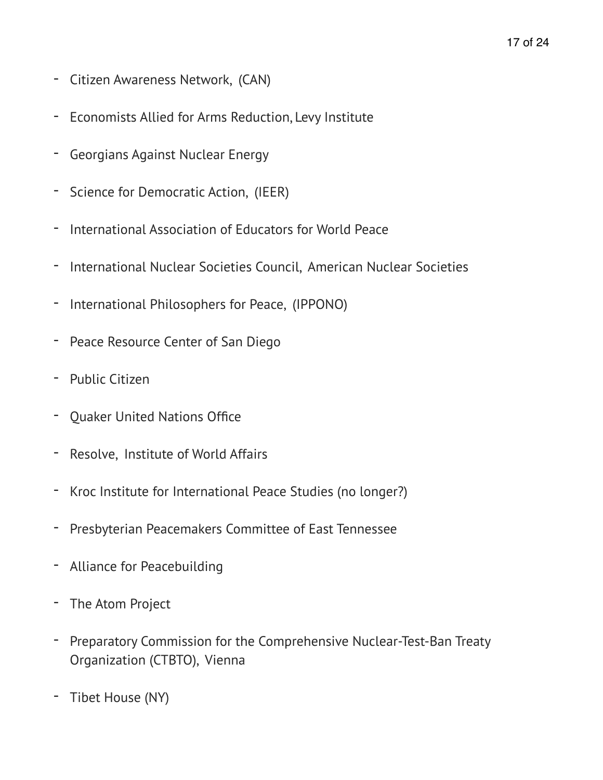- Citizen Awareness Network, (CAN)
- Economists Allied for Arms Reduction, Levy Institute
- Georgians Against Nuclear Energy
- Science for Democratic Action, (IEER)
- International Association of Educators for World Peace
- International Nuclear Societies Council, American Nuclear Societies
- International Philosophers for Peace, (IPPONO)
- Peace Resource Center of San Diego
- Public Citizen
- Quaker United Nations Office
- Resolve, Institute of World Affairs
- Kroc Institute for International Peace Studies (no longer?)
- Presbyterian Peacemakers Committee of East Tennessee
- Alliance for Peacebuilding
- The Atom Project
- Preparatory Commission for the Comprehensive Nuclear-Test-Ban Treaty Organization (CTBTO), Vienna
- Tibet House (NY)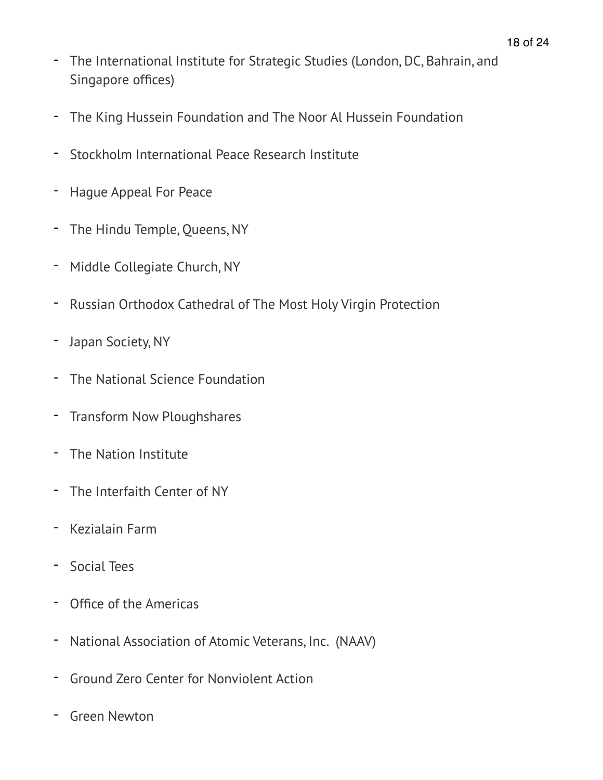- The International Institute for Strategic Studies (London, DC, Bahrain, and Singapore offices)
- The King Hussein Foundation and The Noor Al Hussein Foundation
- Stockholm International Peace Research Institute
- Hague Appeal For Peace
- The Hindu Temple, Queens, NY
- Middle Collegiate Church, NY
- Russian Orthodox Cathedral of The Most Holy Virgin Protection
- Japan Society, NY
- The National Science Foundation
- Transform Now Ploughshares
- The Nation Institute
- The Interfaith Center of NY
- Kezialain Farm
- Social Tees
- Office of the Americas
- National Association of Atomic Veterans, Inc. (NAAV)
- Ground Zero Center for Nonviolent Action
- Green Newton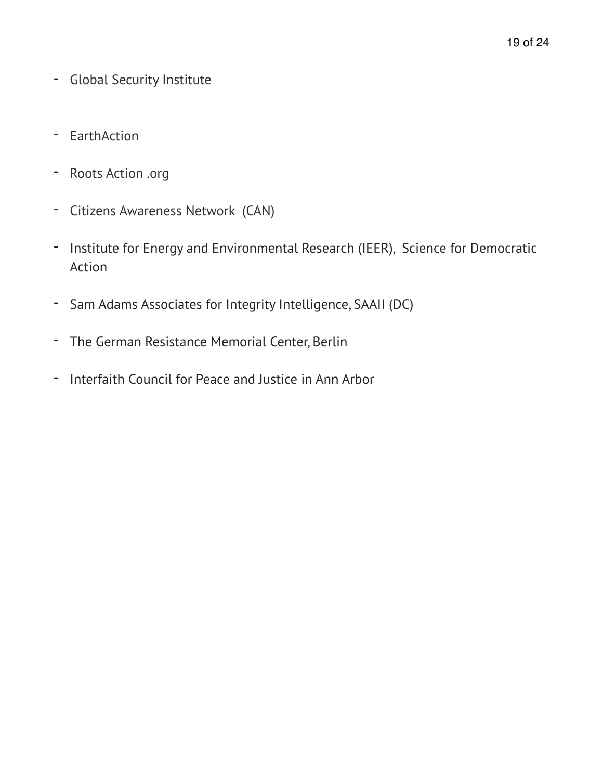- Global Security Institute
- EarthAction
- Roots Action .org
- Citizens Awareness Network (CAN)
- Institute for Energy and Environmental Research (IEER), Science for Democratic Action
- Sam Adams Associates for Integrity Intelligence, SAAII (DC)
- The German Resistance Memorial Center, Berlin
- Interfaith Council for Peace and Justice in Ann Arbor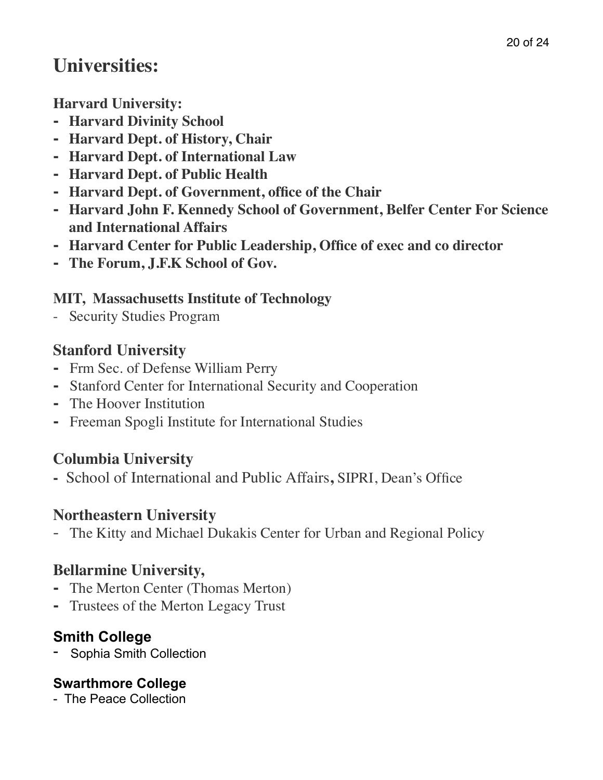# **Universities:**

**Harvard University:**

- **- Harvard Divinity School**
- **- Harvard Dept. of History, Chair**
- **- Harvard Dept. of International Law**
- **- Harvard Dept. of Public Health**
- **- Harvard Dept. of Government, office of the Chair**
- **- Harvard John F. Kennedy School of Government, Belfer Center For Science and International Affairs**
- **- Harvard Center for Public Leadership, Office of exec and co director**
- **- The Forum, J.F.K School of Gov.**

## **MIT, Massachusetts Institute of Technology**

- Security Studies Program

## **Stanford University**

- **-** Frm Sec. of Defense William Perry
- **-** Stanford Center for International Security and Cooperation
- **-** The Hoover Institution
- **-** Freeman Spogli Institute for International Studies

## **Columbia University**

**-** School of International and Public Affairs**,** SIPRI, Dean's Office

## **Northeastern University**

- The Kitty and Michael Dukakis Center for Urban and Regional Policy

## **Bellarmine University,**

- **-** The Merton Center (Thomas Merton)
- **-** Trustees of the Merton Legacy Trust

## **Smith College**

- Sophia Smith Collection

## **Swarthmore College**

- The Peace Collection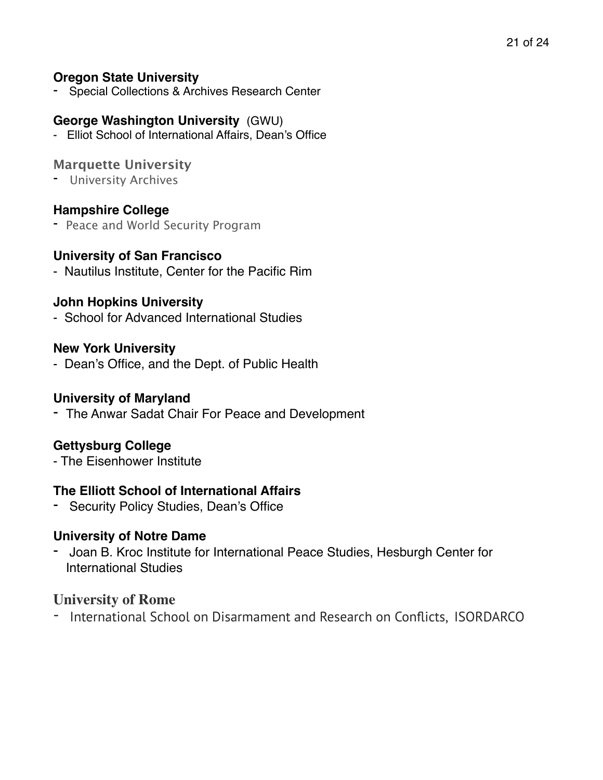#### **Oregon State University**

Special Collections & Archives Research Center

#### **George Washington University** (GWU)

- Elliot School of International Affairs, Dean's Office

#### **Marquette University**

- University Archives

#### **Hampshire College**

- Peace and World Security Program

#### **University of San Francisco**

- Nautilus Institute, Center for the Pacific Rim

#### **John Hopkins University**

- School for Advanced International Studies

#### **New York University**

- Dean's Office, and the Dept. of Public Health

#### **University of Maryland**

- The Anwar Sadat Chair For Peace and Development

#### **Gettysburg College**

- The Eisenhower Institute

#### **The Elliott School of International Affairs**

- Security Policy Studies, Dean's Office

#### **University of Notre Dame**

- Joan B. Kroc Institute for International Peace Studies, Hesburgh Center for International Studies

#### **University of Rome**

- International School on Disarmament and Research on Conflicts, ISORDARCO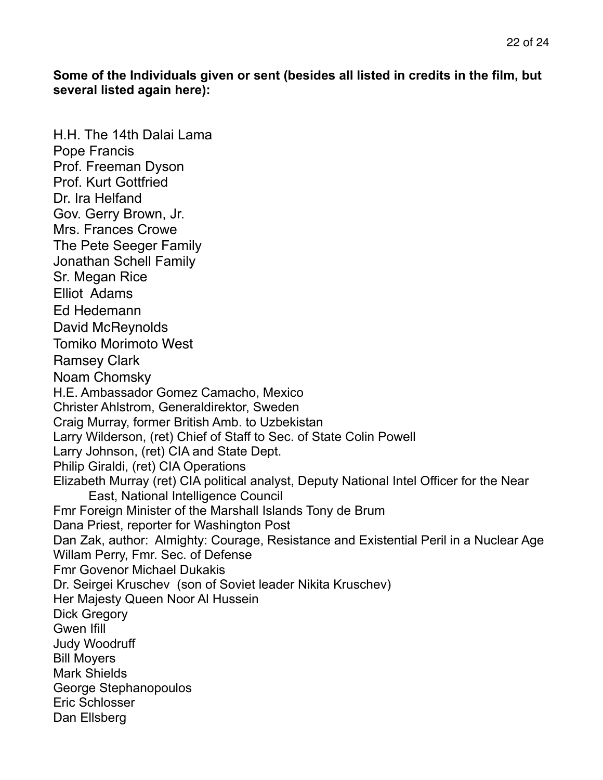**Some of the Individuals given or sent (besides all listed in credits in the film, but several listed again here):** 

H.H. The 14th Dalai Lama Pope Francis Prof. Freeman Dyson Prof. Kurt Gottfried Dr. Ira Helfand Gov. Gerry Brown, Jr. Mrs. Frances Crowe The Pete Seeger Family Jonathan Schell Family Sr. Megan Rice Elliot Adams Ed Hedemann David McReynolds Tomiko Morimoto West Ramsey Clark Noam Chomsky H.E. Ambassador Gomez Camacho, Mexico Christer Ahlstrom, Generaldirektor, Sweden Craig Murray, former British Amb. to Uzbekistan Larry Wilderson, (ret) Chief of Staff to Sec. of State Colin Powell Larry Johnson, (ret) CIA and State Dept. Philip Giraldi, (ret) CIA Operations Elizabeth Murray (ret) CIA political analyst, Deputy National Intel Officer for the Near East, National Intelligence Council Fmr Foreign Minister of the Marshall Islands Tony de Brum Dana Priest, reporter for Washington Post Dan Zak, author: Almighty: Courage, Resistance and Existential Peril in a Nuclear Age Willam Perry, Fmr. Sec. of Defense Fmr Govenor Michael Dukakis Dr. Seirgei Kruschev (son of Soviet leader Nikita Kruschev) Her Majesty Queen Noor Al Hussein Dick Gregory Gwen Ifill Judy Woodruff Bill Moyers Mark Shields George Stephanopoulos Eric Schlosser Dan Ellsberg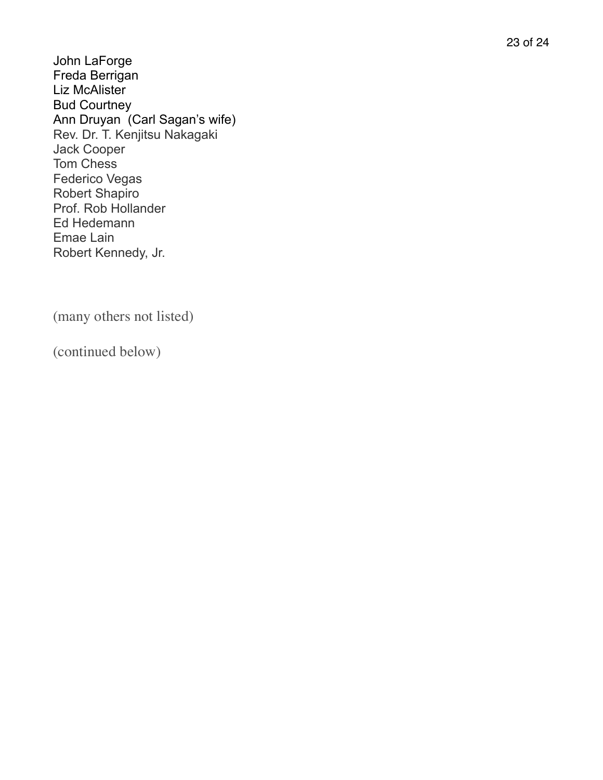John LaForge Freda Berrigan Liz McAlister Bud Courtney Ann Druyan (Carl Sagan's wife) Rev. Dr. T. Kenjitsu Nakagaki Jack Cooper Tom Chess Federico Vegas Robert Shapiro Prof. Rob Hollander Ed Hedemann Emae Lain Robert Kennedy, Jr.

(many others not listed)

(continued below)